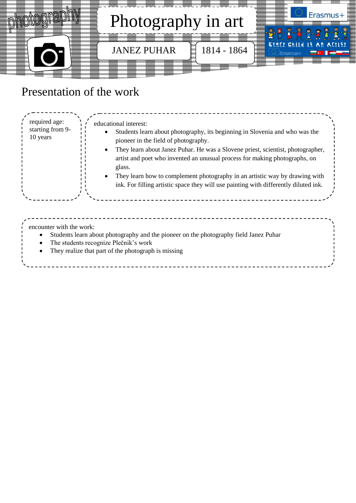

# Presentation of the work

| required age:<br>starting from 9-<br>10 years | educational interest:<br>Students learn about photography, its beginning in Slovenia and who was the<br>pioneer in the field of photography.<br>They learn about Janez Puhar. He was a Slovene priest, scientist, photographer,<br>$\bullet$<br>artist and poet who invented an unusual process for making photographs, on<br>glass.<br>They learn how to complement photography in an artistic way by drawing with<br>$\bullet$<br>ink. For filling artistic space they will use painting with differently diluted ink. |  |
|-----------------------------------------------|--------------------------------------------------------------------------------------------------------------------------------------------------------------------------------------------------------------------------------------------------------------------------------------------------------------------------------------------------------------------------------------------------------------------------------------------------------------------------------------------------------------------------|--|
| encounter with the work:                      | Students learn about photography and the pioneer on the photography field Janez Puhar<br>The students recognize Plečnik's work<br>They realize that part of the photograph is missing                                                                                                                                                                                                                                                                                                                                    |  |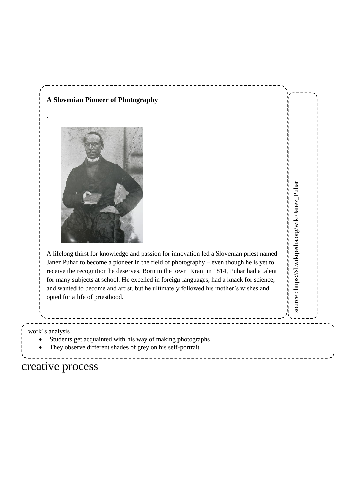

creative process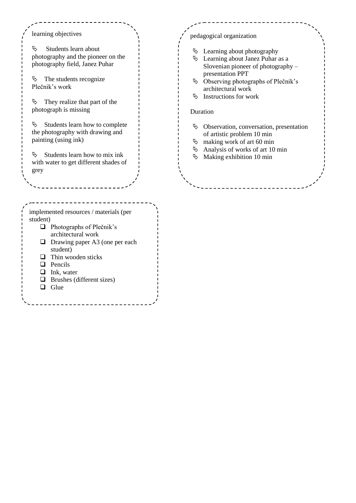learning objectives

 $\uparrow$  Students learn about photography and the pioneer on the photography field, Janez Puhar

 $\uparrow$  The students recognize Plečnik's work

 $\&$  They realize that part of the photograph is missing

 $\%$  Students learn how to complete the photography with drawing and painting (using ink)

 $\&$  Students learn how to mix ink with water to get different shades of grey

#### implemented resources / materials (per student)

- **Photographs of Plečnik's** architectural work
- $\Box$  Drawing paper A3 (one per each student)
- $\Box$  Thin wooden sticks
- **Q** Pencils
- $\Box$  Ink, water
- $\Box$  Brushes (different sizes)
- $\Box$  Glue

### pedagogical organization

- $\&$  Learning about photography
- Learning about Janez Puhar as a Slovenian pioneer of photography – presentation PPT
- Observing photographs of Plečnik's architectural work
- $\&$  Instructions for work

### Duration

- Observation, conversation, presentation of artistic problem 10 min
- $\%$  making work of art 60 min
- $\%$  Analysis of works of art 10 min
- $\%$  Making exhibition 10 min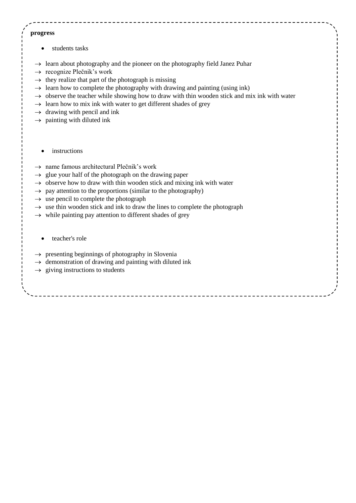#### **progress**

- students tasks
- $\rightarrow$  learn about photography and the pioneer on the photography field Janez Puhar
- $\rightarrow$  recognize Plečnik's work
- $\rightarrow$  they realize that part of the photograph is missing
- $\rightarrow$  learn how to complete the photography with drawing and painting (using ink)
- $\rightarrow$  observe the teacher while showing how to draw with thin wooden stick and mix ink with water
- $\rightarrow$  learn how to mix ink with water to get different shades of grey
- $\rightarrow$  drawing with pencil and ink
- $\rightarrow$  painting with diluted ink
	- instructions
- $\rightarrow$  name famous architectural Plečnik's work
- $\rightarrow$  glue your half of the photograph on the drawing paper
- $\rightarrow$  observe how to draw with thin wooden stick and mixing ink with water
- $\rightarrow$  pay attention to the proportions (similar to the photography)
- $\rightarrow$  use pencil to complete the photograph
- $\rightarrow$  use thin wooden stick and ink to draw the lines to complete the photograph
- $\rightarrow$  while painting pay attention to different shades of grey
	- teacher's role
- $\rightarrow$  presenting beginnings of photography in Slovenia
- $\rightarrow$  demonstration of drawing and painting with diluted ink
- $\rightarrow$  giving instructions to students